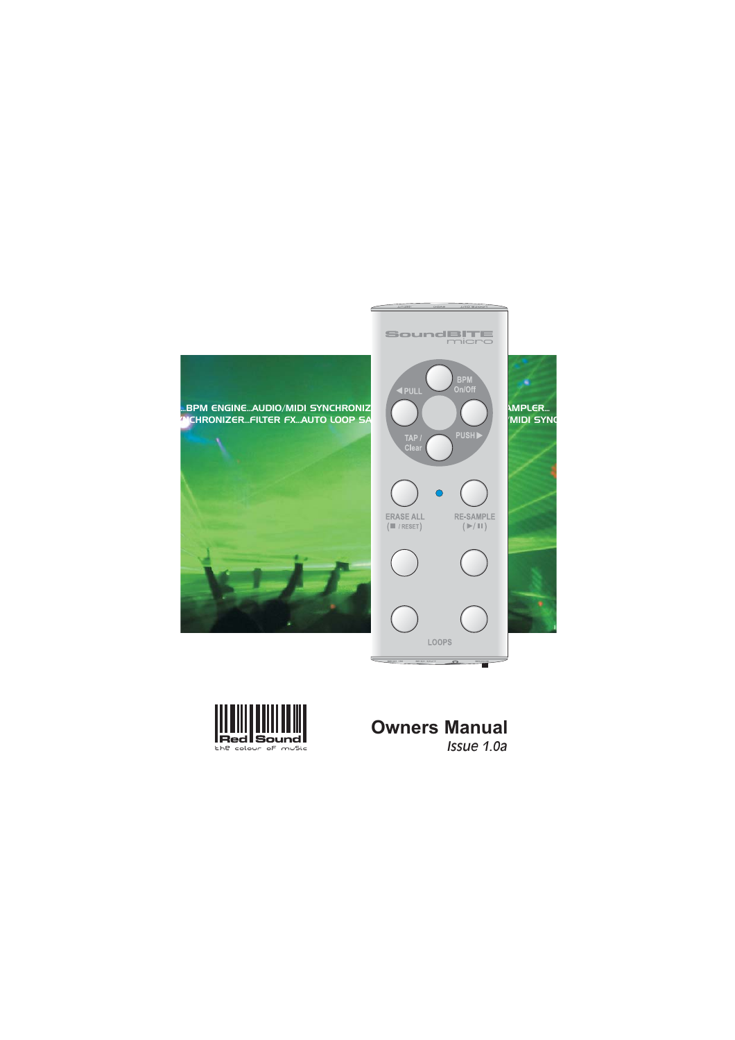



# **Owners Manual** *Issue 1.0a*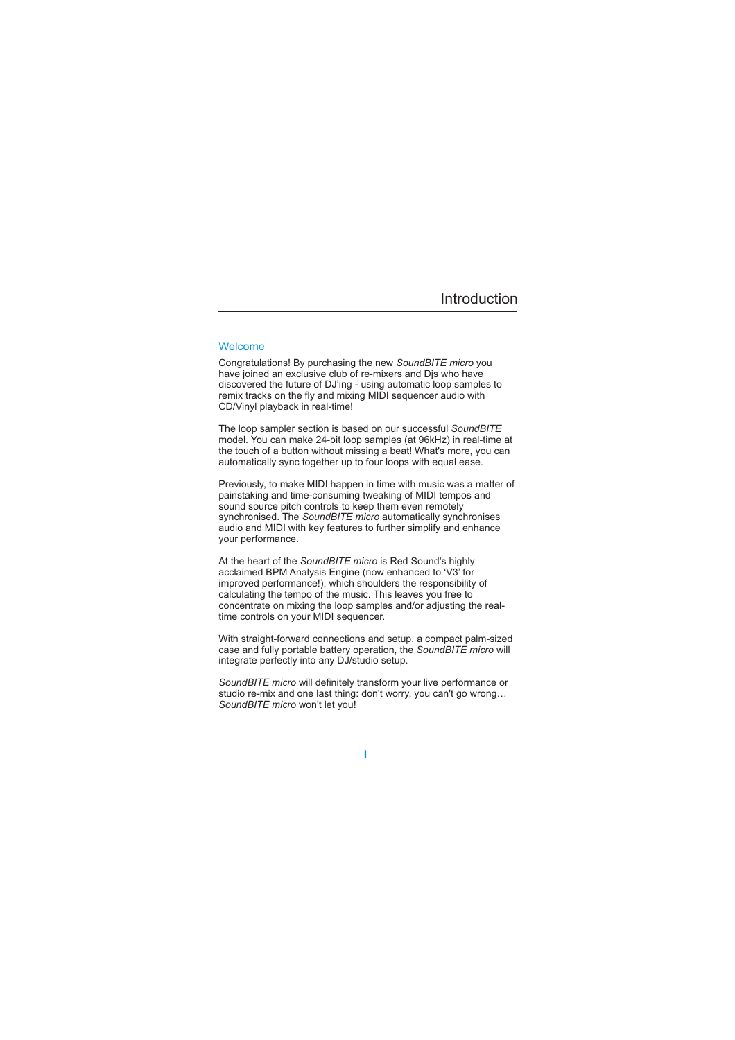# Introduction

## Welcome

Congratulations! By purchasing the new SoundBITE micro you have joined an exclusive club of re-mixers and Djs who have discovered the future of DJ'ing - using automatic loop samples to remix tracks on the fly and mixing MIDI sequencer audio with CD/Vinyl playback in real-time!

The loop sampler section is based on our successful *SoundBITE* model. You can make 24-bit loop samples (at 96kHz) in real-time at the touch of a button without missing a beat! What's more, you can automatically sync together up to four loops with equal ease.

Previously, to make MIDI happen in time with music was a matter of painstaking and time-consuming tweaking of MIDI tempos and sound source pitch controls to keep them even remotely synchronised. The SoundBITE micro automatically synchronises audio and MIDI with key features to further simplify and enhance your performance.

At the heart of the SoundBITE micro is Red Sound's highly acclaimed BPM Analysis Engine (now enhanced to 'V3' for improved performance!), which shoulders the responsibility of calculating the tempo of the music. This leaves you free to concentrate on mixing the loop samples and/or adjusting the realtime controls on your MIDI sequencer.

case and fully portable battery operation, the SoundBITE micro will With straight-forward connections and setup, a compact palm-sized integrate perfectly into any DJ/studio setup.

SoundBITE micro will definitely transform your live performance or studio re-mix and one last thing: don't worry, you can't go wrong… SoundBITE micro won't let you!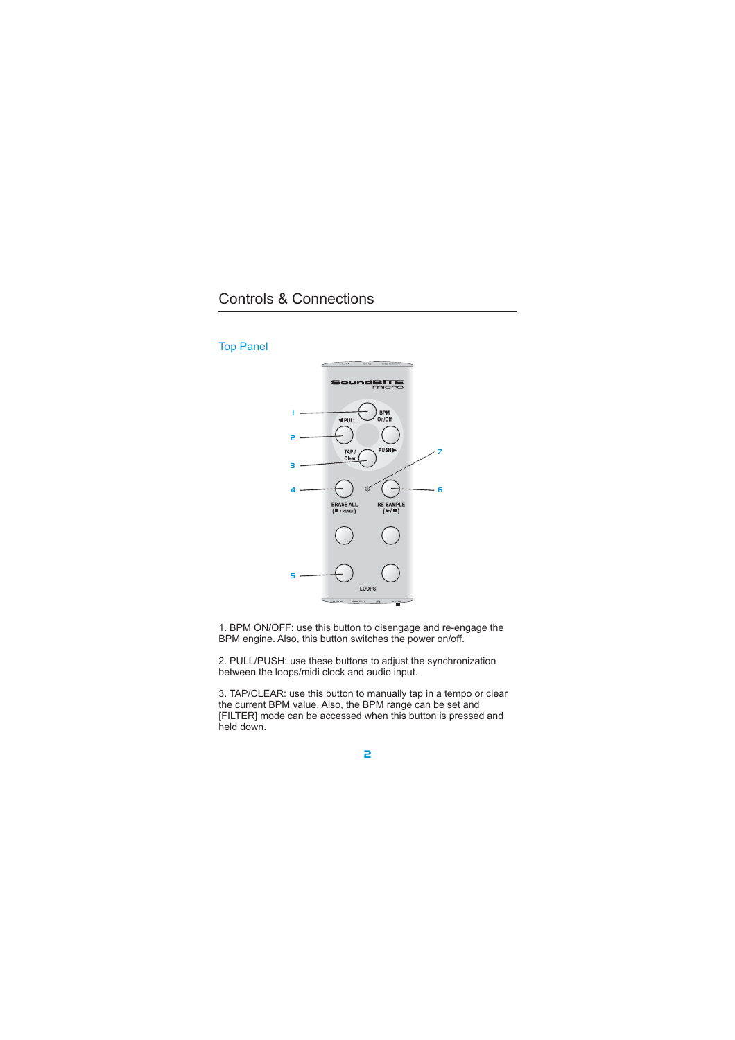

1. BPM ON/OFF: use this button to disengage and re-engage the BPM engine. Also, this button switches the power on/off.

2. PULL/PUSH: use these buttons to adjust the synchronization between the loops/midi clock and audio input.

3. TAP/CLEAR: use this button to manually tap in a tempo or clear the current BPM value. Also, the BPM range can be set and [FILTER] mode can be accessed when this button is pressed and held down.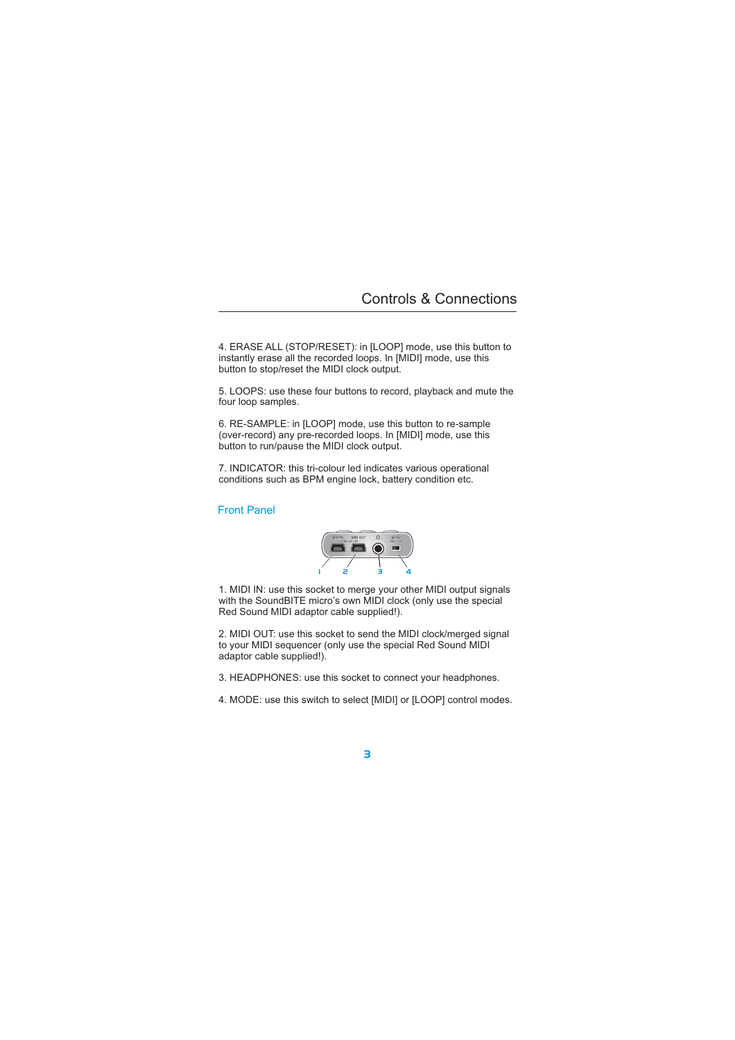4. ERASE ALL (STOP/RESET): in [LOOP] mode, use this button to instantly erase all the recorded loops. In [MIDI] mode, use this button to stop/reset the MIDI clock output.

5. LOOPS: use these four buttons to record, playback and mute the four loop samples.

6. RE-SAMPLE: in [LOOP] mode, use this button to re-sample (over-record) any pre-recorded loops. In [MIDI] mode, use this button to run/pause the MIDI clock output.

7. INDICATOR: this tri-colour led indicates various operational conditions such as BPM engine lock, battery condition etc.

## Front Panel



1. MIDI IN: use this socket to merge your other MIDI output signals with the SoundBITE micro's own MIDI clock (only use the special Red Sound MIDI adaptor cable supplied!).

2. MIDI OUT: use this socket to send the MIDI clock/merged signal to your MIDI sequencer (only use the special Red Sound MIDI adaptor cable supplied!).

- 3. HEADPHONES: use this socket to connect your headphones.
- 4. MODE: use this switch to select [MIDI] or [LOOP] control modes.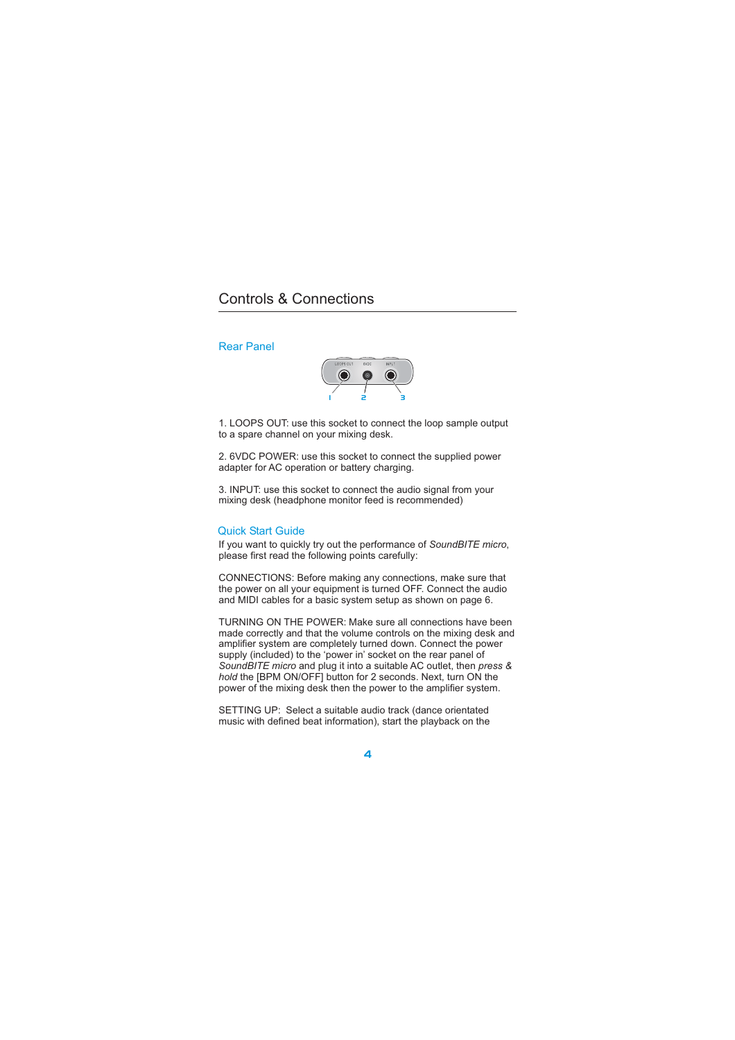## Rear Panel



1. LOOPS OUT: use this socket to connect the loop sample output to a spare channel on your mixing desk.

2. 6VDC POWER: use this socket to connect the supplied power adapter for AC operation or battery charging.

3. INPUT: use this socket to connect the audio signal from your mixing desk (headphone monitor feed is recommended)

### Quick Start Guide

If you want to quickly try out the performance of SoundBITE micro, please first read the following points carefully:

CONNECTIONS: Before making any connections, make sure that the power on all your equipment is turned OFF. Connect the audio and MIDI cables for a basic system setup as shown on page 6.

TURNING ON THE POWER: Make sure all connections have been made correctly and that the volume controls on the mixing desk and amplifier system are completely turned down. Connect the power supply (included) to the 'power in' socket on the rear panel of SoundBITE micro and plug it into a suitable AC outlet, then press & hold the [BPM ON/OFF] button for 2 seconds. Next, turn ON the power of the mixing desk then the power to the amplifier system.

SETTING UP: Select a suitable audio track (dance orientated music with defined beat information), start the playback on the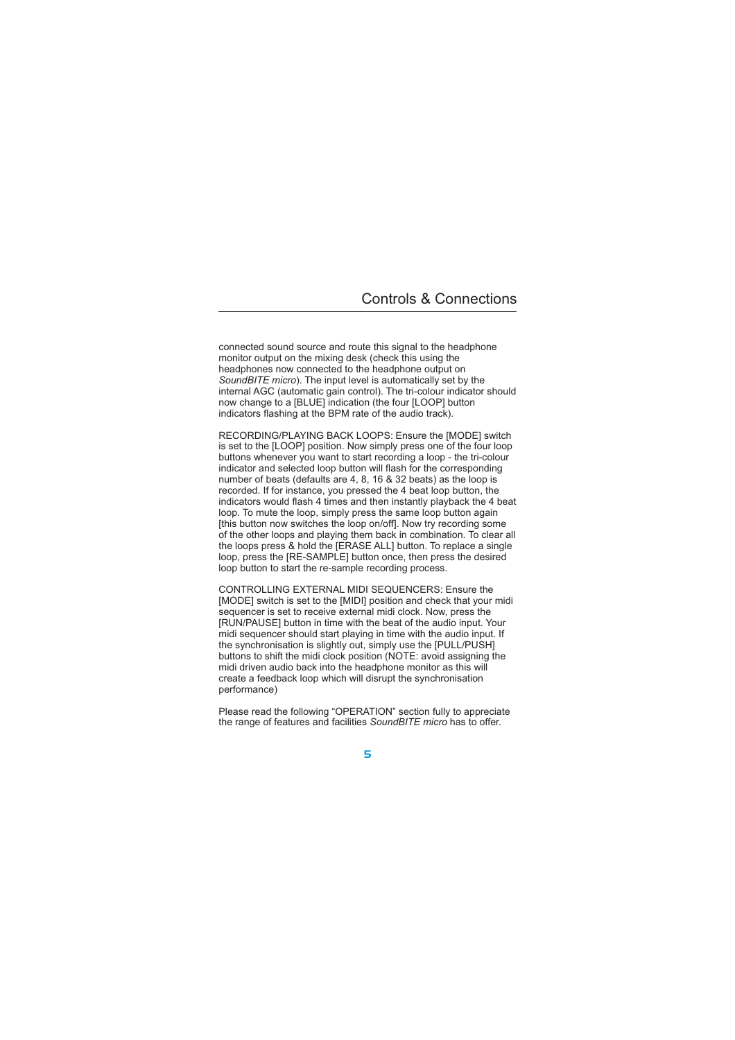connected sound source and route this signal to the headphone monitor output on the mixing desk (check this using the headphones now connected to the headphone output on SoundBITE micro). The input level is automatically set by the internal AGC (automatic gain control). The tri-colour indicator should now change to a [BLUE] indication (the four [LOOP] button indicators flashing at the BPM rate of the audio track).

RECORDING/PLAYING BACK LOOPS: Ensure the [MODE] switch is set to the [LOOP] position. Now simply press one of the four loop buttons whenever you want to start recording a loop - the tri-colour indicator and selected loop button will flash for the corresponding number of beats (defaults are 4, 8, 16 & 32 beats) as the loop is recorded. If for instance, you pressed the 4 beat loop button, the indicators would flash 4 times and then instantly playback the 4 beat loop. To mute the loop, simply press the same loop button again [this button now switches the loop on/off]. Now try recording some of the other loops and playing them back in combination. To clear all the loops press & hold the [ERASE ALL] button. To replace a single loop, press the [RE-SAMPLE] button once, then press the desired loop button to start the re-sample recording process.

CONTROLLING EXTERNAL MIDI SEQUENCERS: Ensure the [MODE] switch is set to the [MIDI] position and check that your midi sequencer is set to receive external midi clock. Now, press the [RUN/PAUSE] button in time with the beat of the audio input. Your midi sequencer should start playing in time with the audio input. If the synchronisation is slightly out, simply use the [PULL/PUSH] buttons to shift the midi clock position (NOTE: avoid assigning the midi driven audio back into the headphone monitor as this will create a feedback loop which will disrupt the synchronisation performance)

Please read the following "OPERATION" section fully to appreciate the range of features and facilities SoundBITE micro has to offer.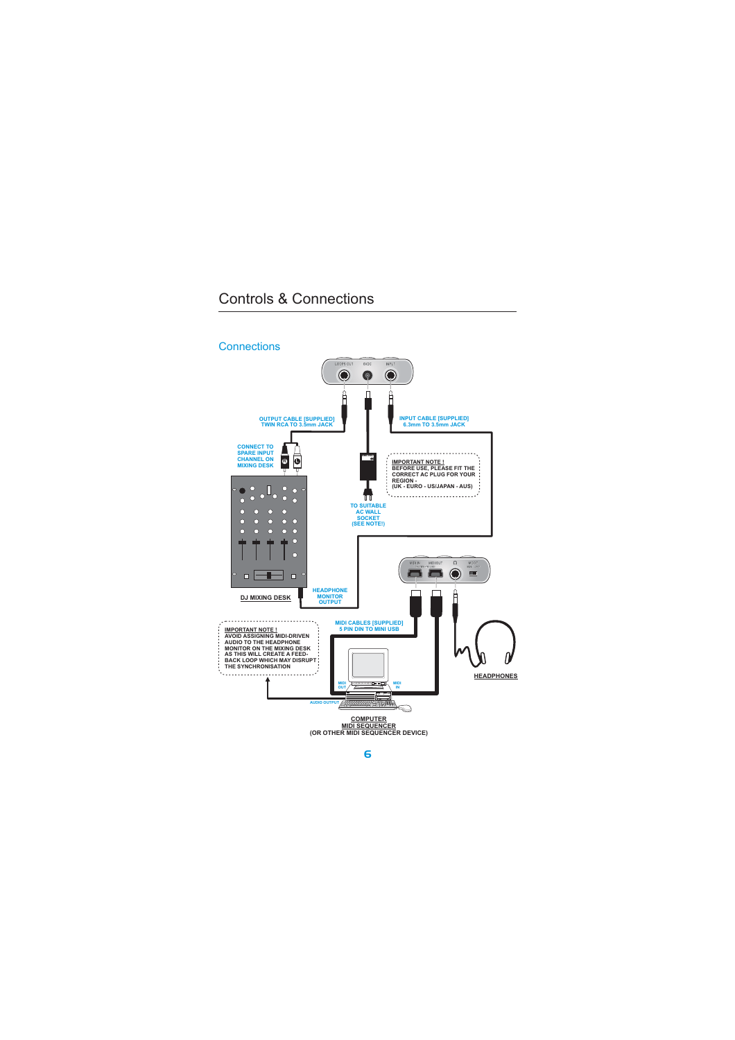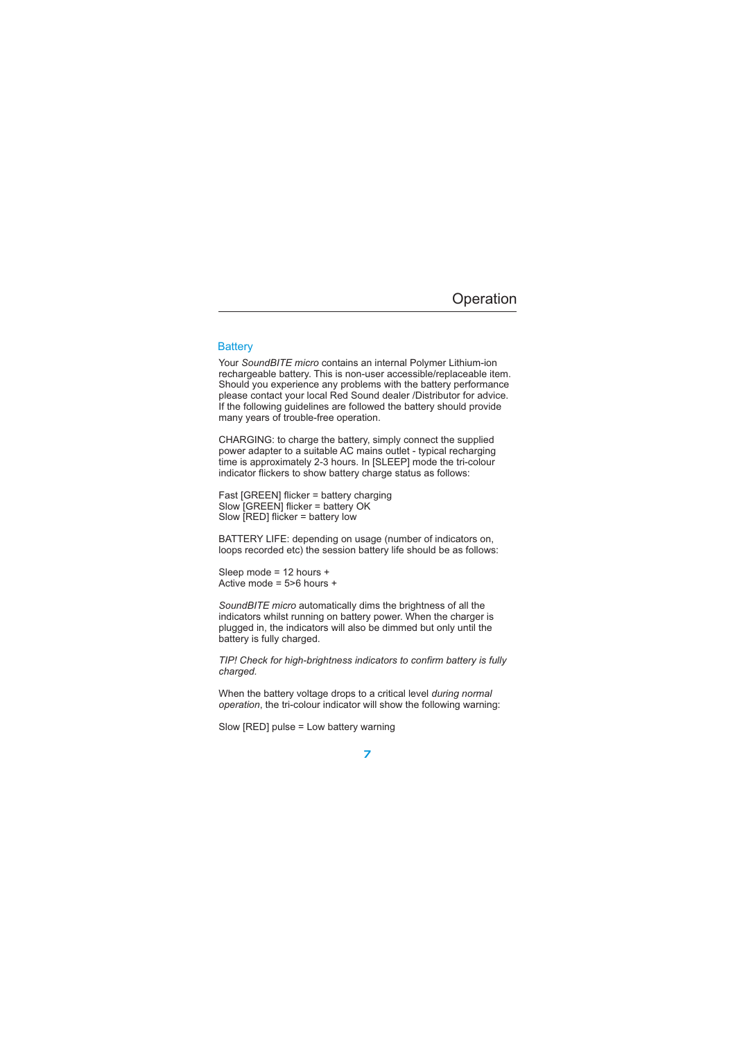### **Battery**

Your SoundBITE micro contains an internal Polymer Lithium-ion rechargeable battery. This is non-user accessible/replaceable item. Should you experience any problems with the battery performance please contact your local Red Sound dealer /Distributor for advice. If the following guidelines are followed the battery should provide many years of trouble-free operation.

CHARGING: to charge the battery, simply connect the supplied power adapter to a suitable AC mains outlet - typical recharging time is approximately 2-3 hours. In [SLEEP] mode the tri-colour indicator flickers to show battery charge status as follows:

Fast [GREEN] flicker = battery charging Slow [GREEN] flicker = battery OK Slow [RED] flicker = battery low

BATTERY LIFE: depending on usage (number of indicators on, loops recorded etc) the session battery life should be as follows:

Sleep mode = 12 hours + Active mode =  $5>6$  hours +

SoundBITE micro automatically dims the brightness of all the indicators whilst running on battery power. When the charger is plugged in, the indicators will also be dimmed but only until the battery is fully charged.

*TIP! Check for high-brightness indicators to confirm battery is fully charged.*

When the battery voltage drops to a critical level *during normal* operation, the tri-colour indicator will show the following warning:

Slow [RED] pulse = Low battery warning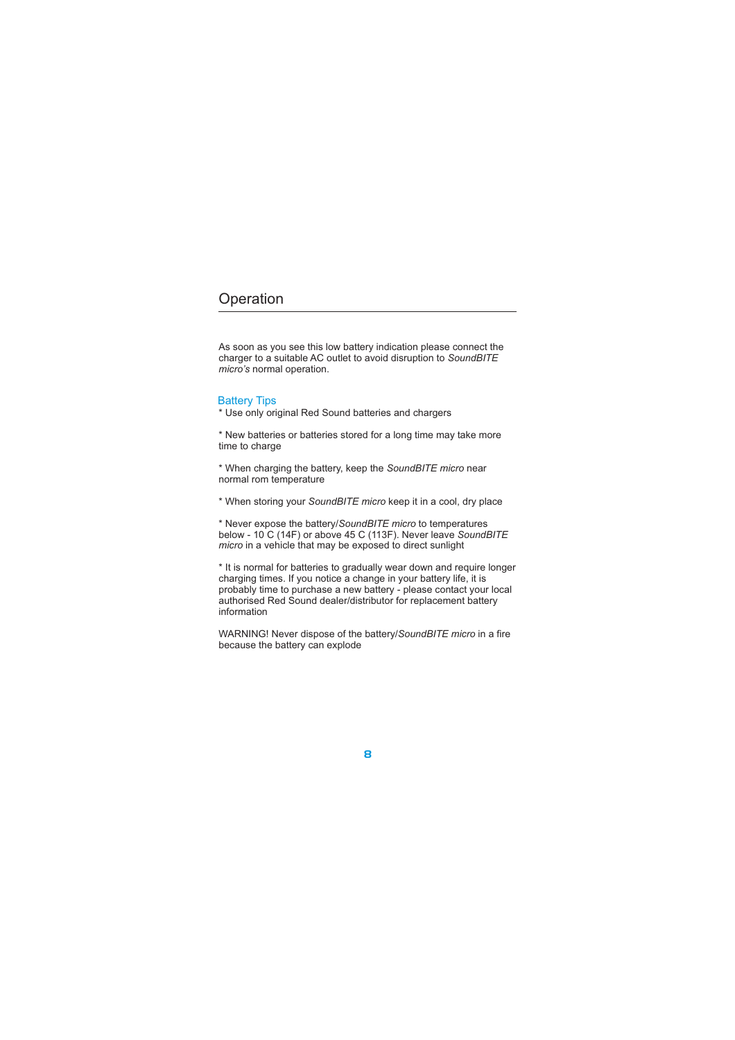As soon as you see this low battery indication please connect the charger to a suitable AC outlet to avoid disruption to *SoundBITE* micro's normal operation.

## Battery Tips

\* Use only original Red Sound batteries and chargers

\* New batteries or batteries stored for a long time may take more time to charge

\* When charging the battery, keep the SoundBITE micro near normal rom temperature

\* When storing your SoundBITE micro keep it in a cool, dry place

\* Never expose the battery/SoundBITE micro to temperatures below - 10 C (14F) or above 45 C (113F). Never leave *SoundBITE* micro in a vehicle that may be exposed to direct sunlight

\* It is normal for batteries to gradually wear down and require longer charging times. If you notice a change in your battery life, it is probably time to purchase a new battery - please contact your local authorised Red Sound dealer/distributor for replacement battery information

WARNING! Never dispose of the battery/SoundBITE micro in a fire because the battery can explode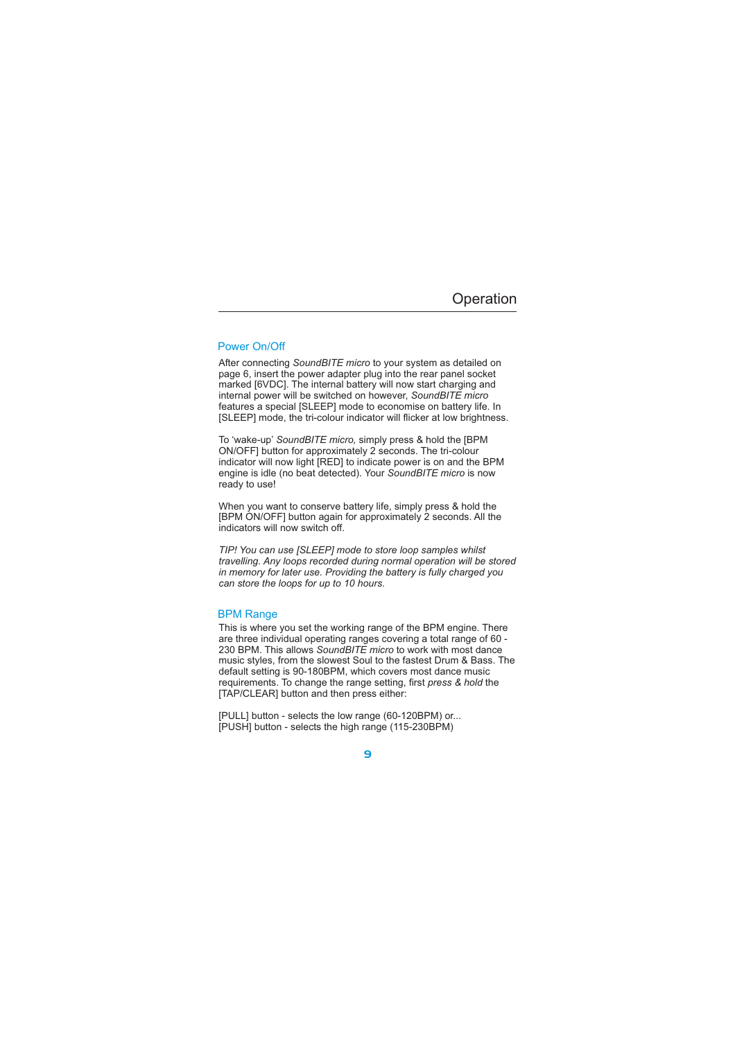## Power On/Off

After connecting SoundBITE micro to your system as detailed on page 6, insert the power adapter plug into the rear panel socket marked [6VDC]. The internal battery will now start charging and internal power will be switched on however, *SoundBITE micro* features a special [SLEEP] mode to economise on battery life. In [SLEEP] mode, the tri-colour indicator will flicker at low brightness.

To 'wake-up' SoundBITE micro, simply press & hold the [BPM ON/OFF] button for approximately 2 seconds. The tri-colour indicator will now light [RED] to indicate power is on and the BPM engine is idle (no beat detected). Your SoundBITE micro is now ready to use!

When you want to conserve battery life, simply press & hold the [BPM ON/OFF] button again for approximately 2 seconds. All the indicators will now switch off.

*TIP! You can use [SLEEP] mode to store loop samples whilst travelling. Any loops recorded during normal operation will be stored in memory for later use. Providing the battery is fully charged you can store the loops for up to 10 hours.*

### BPM Range

230 BPM. This allows SoundBITE micro to work with most dance This is where you set the working range of the BPM engine. There are three individual operating ranges covering a total range of 60 music styles, from the slowest Soul to the fastest Drum & Bass. The default setting is 90-180BPM, which covers most dance music requirements. To change the range setting, first press & hold the [TAP/CLEAR] button and then press either:

[PULL] button - selects the low range (60-120BPM) or... [PUSH] button - selects the high range (115-230BPM)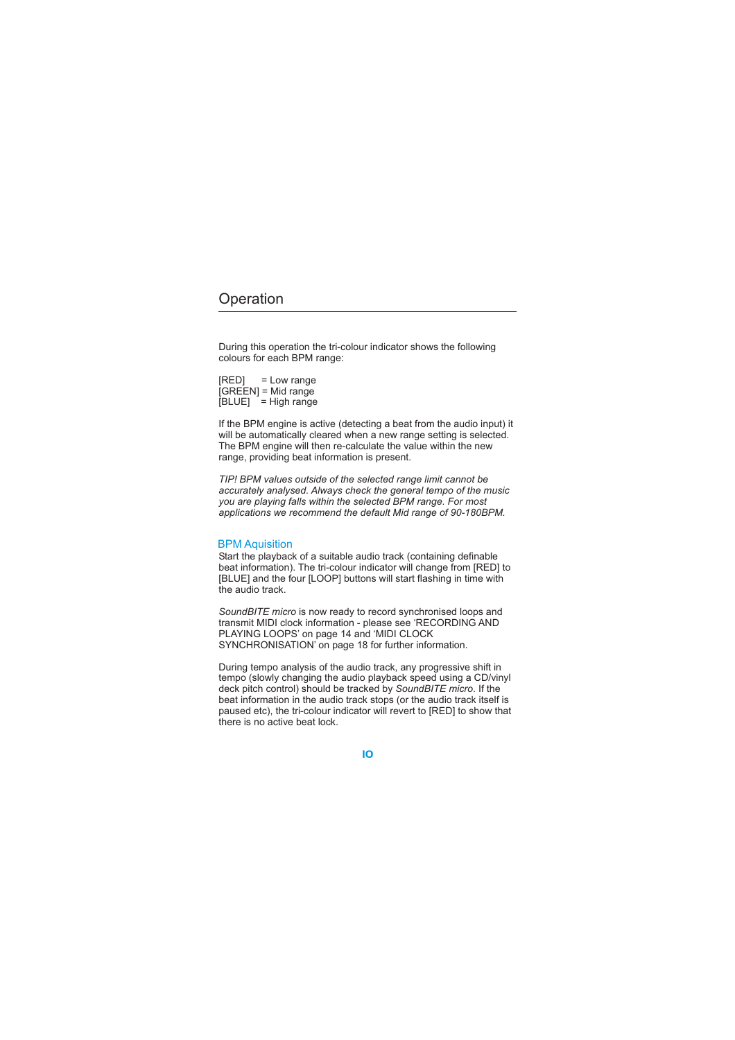During this operation the tri-colour indicator shows the following colours for each BPM range:

[RED] = Low range [GREEN] = Mid range  $[BLUE]$  = High range

If the BPM engine is active (detecting a beat from the audio input) it will be automatically cleared when a new range setting is selected. The BPM engine will then re-calculate the value within the new range, providing beat information is present.

*TIP! BPM values outside of the selected range limit cannot be accurately analysed. Always check the general tempo of the music you are playing falls within the selected BPM range. For most applications we recommend the default Mid range of 90-180BPM.*

### BPM Aquisition

Start the playback of a suitable audio track (containing definable beat information). The tri-colour indicator will change from [RED] to [BLUE] and the four [LOOP] buttons will start flashing in time with the audio track.

SoundBITE micro is now ready to record synchronised loops and transmit MIDI clock information - please see 'RECORDING AND PLAYING LOOPS' on page 14 and 'MIDI CLOCK SYNCHRONISATION' on page 18 for further information.

deck pitch control) should be tracked by SoundBITE micro. If the During tempo analysis of the audio track, any progressive shift in tempo (slowly changing the audio playback speed using a CD/vinyl beat information in the audio track stops (or the audio track itself is paused etc), the tri-colour indicator will revert to [RED] to show that there is no active beat lock.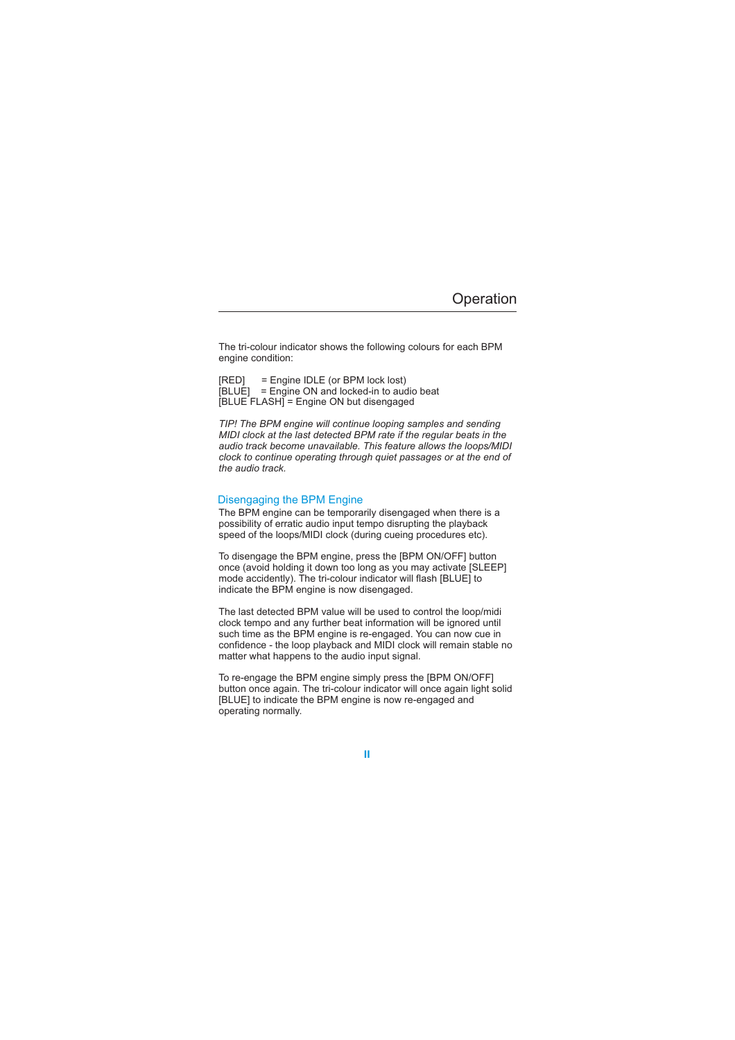The tri-colour indicator shows the following colours for each BPM engine condition:

[RED] = Engine IDLE (or BPM lock lost) [BLUE] = Engine ON and locked-in to audio beat [BLUE FLASH] = Engine ON but disengaged

*TIP! The BPM engine will continue looping samples and sending MIDI clock at the last detected BPM rate if the regular beats in the audio track become unavailable. This feature allows the loops/MIDI clock to continue operating through quiet passages or at the end of the audio track.*

### Disengaging the BPM Engine

The BPM engine can be temporarily disengaged when there is a possibility of erratic audio input tempo disrupting the playback speed of the loops/MIDI clock (during cueing procedures etc).

To disengage the BPM engine, press the [BPM ON/OFF] button once (avoid holding it down too long as you may activate [SLEEP] mode accidently). The tri-colour indicator will flash [BLUE] to indicate the BPM engine is now disengaged.

The last detected BPM value will be used to control the loop/midi clock tempo and any further beat information will be ignored until such time as the BPM engine is re-engaged. You can now cue in confidence - the loop playback and MIDI clock will remain stable no matter what happens to the audio input signal.

To re-engage the BPM engine simply press the [BPM ON/OFF] button once again. The tri-colour indicator will once again light solid [BLUE] to indicate the BPM engine is now re-engaged and operating normally.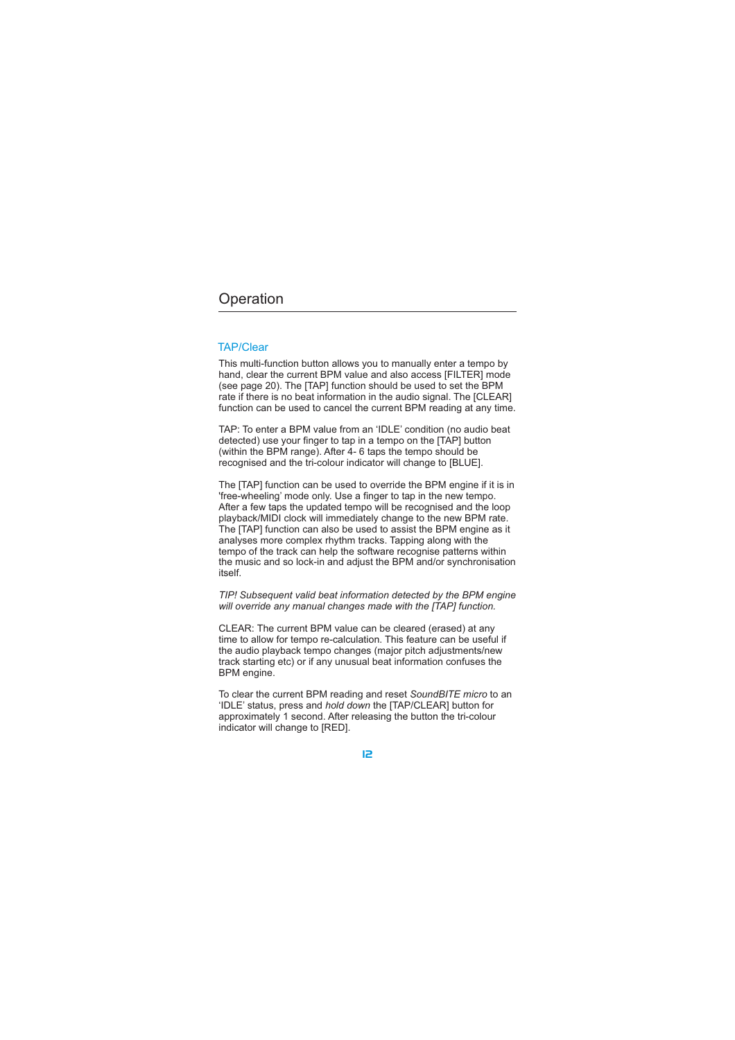### TAP/Clear

This multi-function button allows you to manually enter a tempo by hand, clear the current BPM value and also access [FILTER] mode (see page 20). The [TAP] function should be used to set the BPM rate if there is no beat information in the audio signal. The [CLEAR] function can be used to cancel the current BPM reading at any time.

TAP: To enter a BPM value from an 'IDLE' condition (no audio beat detected) use your finger to tap in a tempo on the [TAP] button (within the BPM range). After 4- 6 taps the tempo should be recognised and the tri-colour indicator will change to [BLUE].

The [TAP] function can be used to override the BPM engine if it is in 'free-wheeling' mode only. Use a finger to tap in the new tempo. After a few taps the updated tempo will be recognised and the loop playback/MIDI clock will immediately change to the new BPM rate. The [TAP] function can also be used to assist the BPM engine as it analyses more complex rhythm tracks. Tapping along with the tempo of the track can help the software recognise patterns within the music and so lock-in and adjust the BPM and/or synchronisation itself.

*TIP! Subsequent valid beat information detected by the BPM engine will override any manual changes made with the [TAP] function.*

CLEAR: The current BPM value can be cleared (erased) at any time to allow for tempo re-calculation. This feature can be useful if the audio playback tempo changes (major pitch adjustments/new track starting etc) or if any unusual beat information confuses the BPM engine.

To clear the current BPM reading and reset SoundBITE micro to an 'IDLE' status, press and *hold down* the [TAP/CLEAR] button for approximately 1 second. After releasing the button the tri-colour indicator will change to [RED].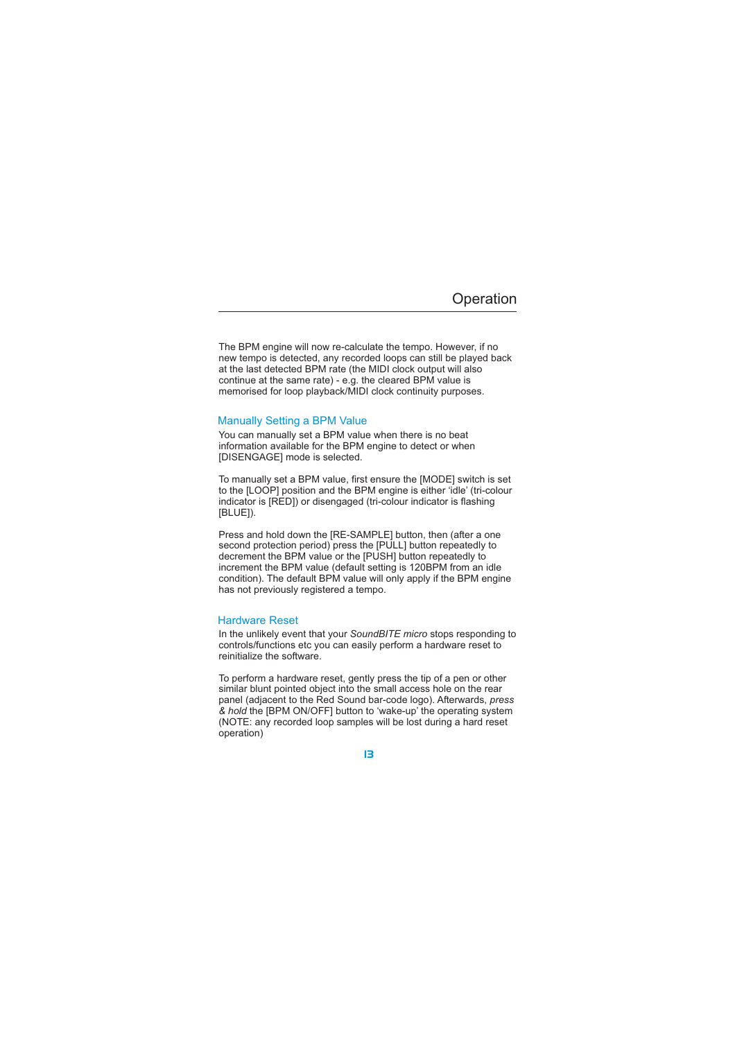The BPM engine will now re-calculate the tempo. However, if no new tempo is detected, any recorded loops can still be played back at the last detected BPM rate (the MIDI clock output will also continue at the same rate) - e.g. the cleared BPM value is memorised for loop playback/MIDI clock continuity purposes.

## Manually Setting a BPM Value

You can manually set a BPM value when there is no beat information available for the BPM engine to detect or when [DISENGAGE] mode is selected.

To manually set a BPM value, first ensure the [MODE] switch is set to the [LOOP] position and the BPM engine is either 'idle' (tri-colour indicator is [RED]) or disengaged (tri-colour indicator is flashing [BLUE]).

condition). The default BPM value will only apply if the BPM engine has not previously registered a tempo. Press and hold down the [RE-SAMPLE] button, then (after a one second protection period) press the [PULL] button repeatedly to decrement the BPM value or the [PUSH] button repeatedly to increment the BPM value (default setting is 120BPM from an idle

### Hardware Reset

In the unlikely event that your SoundBITE micro stops responding to controls/functions etc you can easily perform a hardware reset to reinitialize the software.

To perform a hardware reset, gently press the tip of a pen or other similar blunt pointed object into the small access hole on the rear panel (adjacent to the Red Sound bar-code logo). Afterwards, *press* & hold the [BPM ON/OFF] button to 'wake-up' the operating system (NOTE: any recorded loop samples will be lost during a hard reset operation)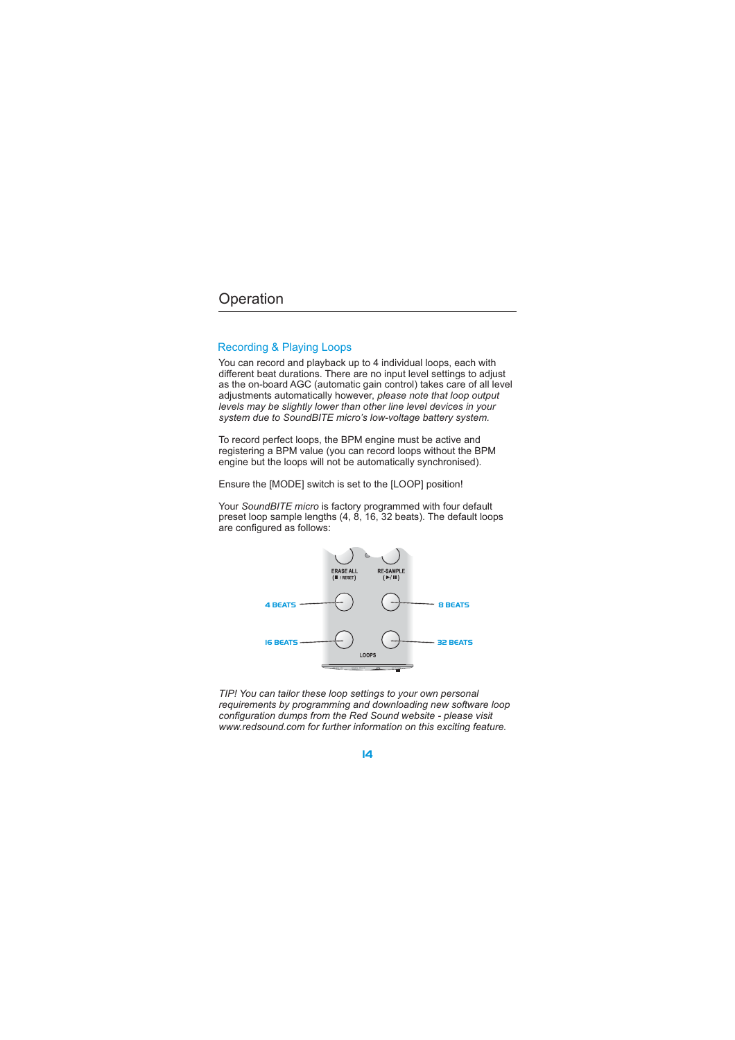## Recording & Playing Loops

You can record and playback up to 4 individual loops, each with different beat durations. There are no input level settings to adjust as the on-board AGC (automatic gain control) takes care of all level adjustments automatically however, *please note that loop output levels may be slightly lower than other line level devices in your system due to SoundBITE micro's low-voltage battery system.*

To record perfect loops, the BPM engine must be active and registering a BPM value (you can record loops without the BPM engine but the loops will not be automatically synchronised).

Ensure the [MODE] switch is set to the [LOOP] position!

Your SoundBITE micro is factory programmed with four default preset loop sample lengths (4, 8, 16, 32 beats). The default loops are configured as follows:



*TIP! You can tailor these loop settings to your own personal requirements by programming and downloading new software loop configuration dumps from the Red Sound website - please visit www.redsound.com for further information on this exciting feature.*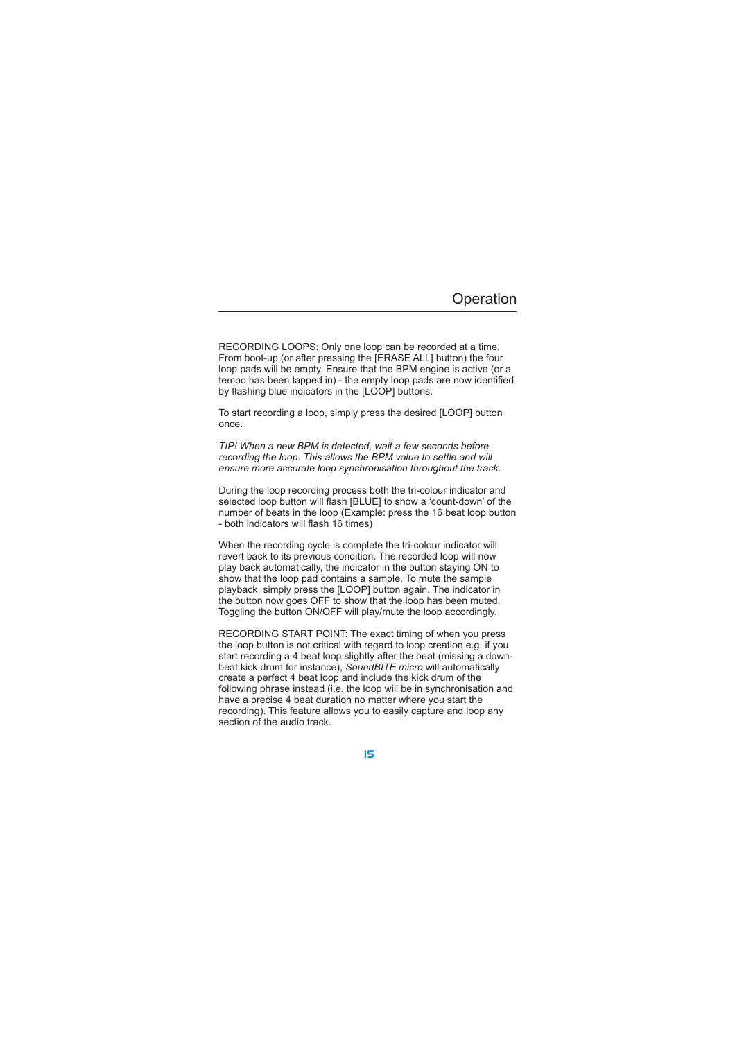RECORDING LOOPS: Only one loop can be recorded at a time. From boot-up (or after pressing the [ERASE ALL] button) the four loop pads will be empty. Ensure that the BPM engine is active (or a tempo has been tapped in) - the empty loop pads are now identified by flashing blue indicators in the [LOOP] buttons.

To start recording a loop, simply press the desired [LOOP] button once.

*TIP! When a new BPM is detected, wait a few seconds before recording the loop. This allows the BPM value to settle and will ensure more accurate loop synchronisation throughout the track.*

During the loop recording process both the tri-colour indicator and selected loop button will flash [BLUE] to show a 'count-down' of the number of beats in the loop (Example: press the 16 beat loop button - both indicators will flash 16 times)

When the recording cycle is complete the tri-colour indicator will revert back to its previous condition. The recorded loop will now play back automatically, the indicator in the button staying ON to show that the loop pad contains a sample. To mute the sample playback, simply press the [LOOP] button again. The indicator in the button now goes OFF to show that the loop has been muted. Toggling the button ON/OFF will play/mute the loop accordingly.

RECORDING START POINT: The exact timing of when you press the loop button is not critical with regard to loop creation e.g. if you start recording a 4 beat loop slightly after the beat (missing a downbeat kick drum for instance), SoundBITE micro will automatically create a perfect 4 beat loop and include the kick drum of the following phrase instead (i.e. the loop will be in synchronisation and have a precise 4 beat duration no matter where you start the recording). This feature allows you to easily capture and loop any section of the audio track.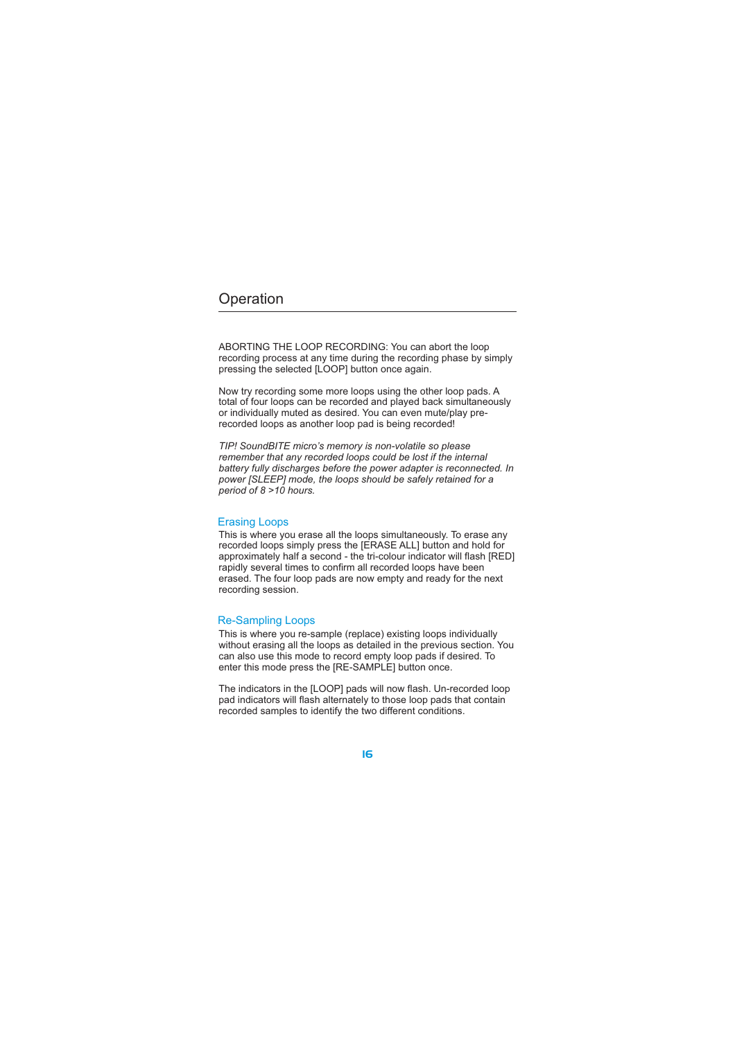ABORTING THE LOOP RECORDING: You can abort the loop recording process at any time during the recording phase by simply pressing the selected [LOOP] button once again.

Now try recording some more loops using the other loop pads. A total of four loops can be recorded and played back simultaneously or individually muted as desired. You can even mute/play prerecorded loops as another loop pad is being recorded!

*TIP! SoundBITE micro's memory is non-volatile so please remember that any recorded loops could be lost if the internal battery fully discharges before the power adapter is reconnected. In power [SLEEP] mode, the loops should be safely retained for a period of 8 >10 hours.*

## Erasing Loops

This is where you erase all the loops simultaneously. To erase any recorded loops simply press the [ERASE ALL] button and hold for approximately half a second - the tri-colour indicator will flash [RED] rapidly several times to confirm all recorded loops have been erased. The four loop pads are now empty and ready for the next recording session.

### Re-Sampling Loops

This is where you re-sample (replace) existing loops individually without erasing all the loops as detailed in the previous section. You can also use this mode to record empty loop pads if desired. To enter this mode press the [RE-SAMPLE] button once.

The indicators in the [LOOP] pads will now flash. Un-recorded loop pad indicators will flash alternately to those loop pads that contain recorded samples to identify the two different conditions.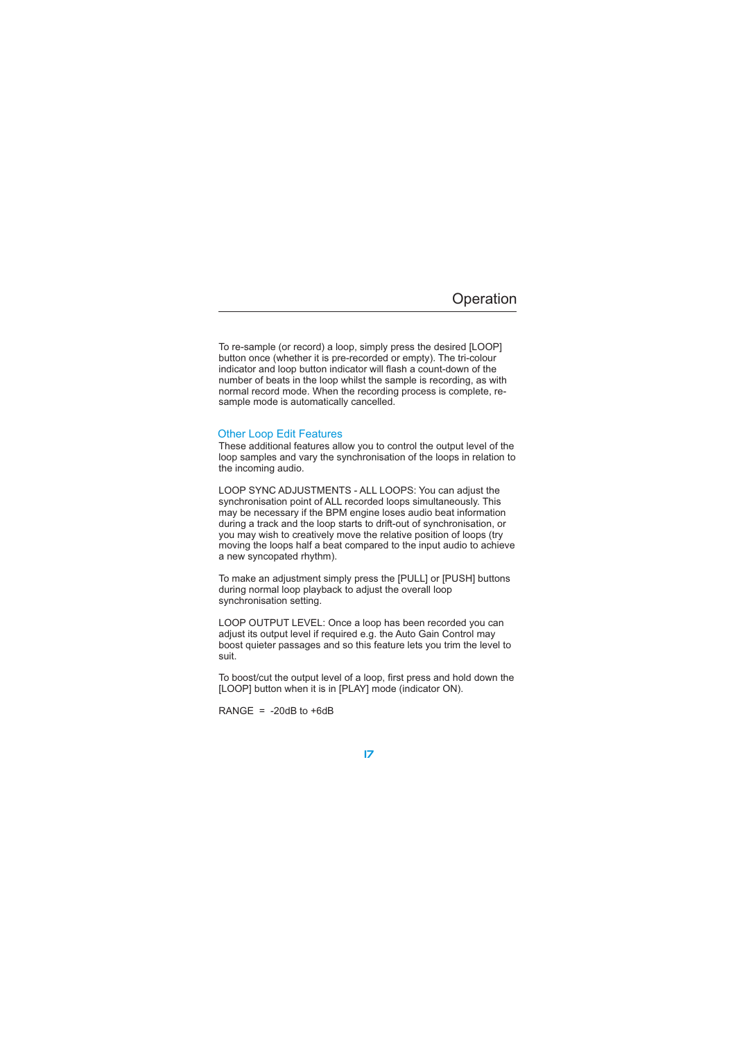To re-sample (or record) a loop, simply press the desired [LOOP] button once (whether it is pre-recorded or empty). The tri-colour indicator and loop button indicator will flash a count-down of the number of beats in the loop whilst the sample is recording, as with normal record mode. When the recording process is complete, resample mode is automatically cancelled.

### Other Loop Edit Features

These additional features allow you to control the output level of the loop samples and vary the synchronisation of the loops in relation to the incoming audio.

LOOP SYNC ADJUSTMENTS - ALL LOOPS: You can adjust the synchronisation point of ALL recorded loops simultaneously. This may be necessary if the BPM engine loses audio beat information during a track and the loop starts to drift-out of synchronisation, or you may wish to creatively move the relative position of loops (try moving the loops half a beat compared to the input audio to achieve a new syncopated rhythm).

To make an adjustment simply press the [PULL] or [PUSH] buttons during normal loop playback to adjust the overall loop synchronisation setting.

LOOP OUTPUT LEVEL: Once a loop has been recorded you can adjust its output level if required e.g. the Auto Gain Control may boost quieter passages and so this feature lets you trim the level to suit.

To boost/cut the output level of a loop, first press and hold down the [LOOP] button when it is in [PLAY] mode (indicator ON).

RANGE =  $-20dB$  to  $+6dB$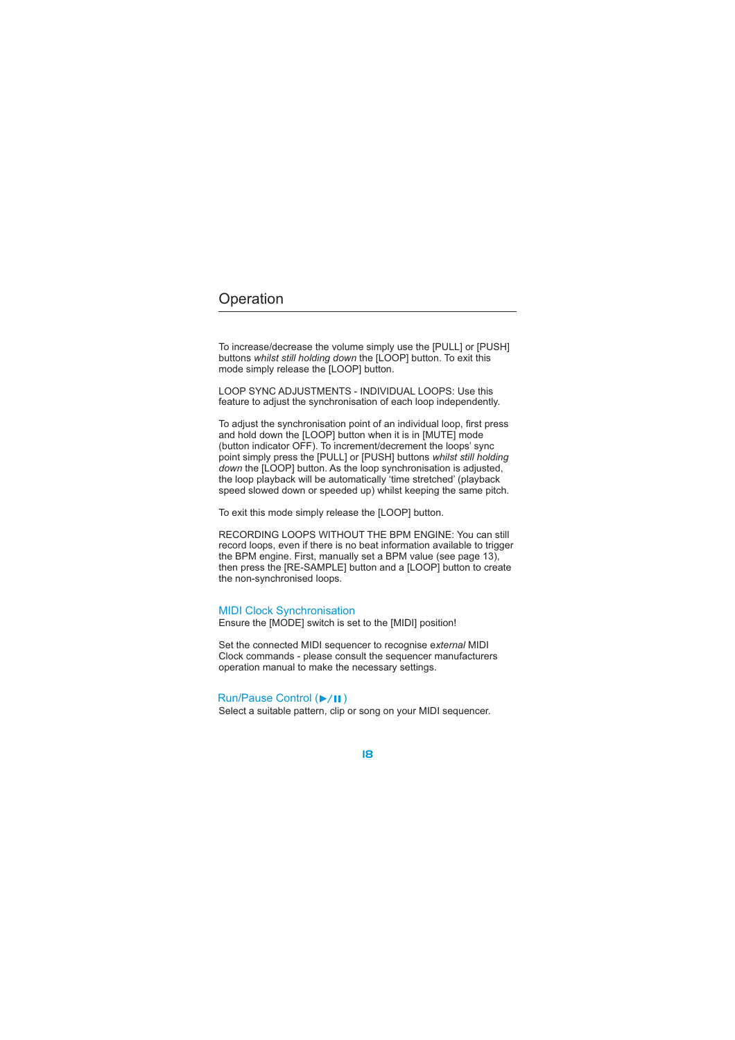To increase/decrease the volume simply use the [PULL] or [PUSH] buttons whilst still holding down the [LOOP] button. To exit this mode simply release the [LOOP] button.

LOOP SYNC ADJUSTMENTS - INDIVIDUAL LOOPS: Use this feature to adjust the synchronisation of each loop independently.

To adjust the synchronisation point of an individual loop, first press and hold down the [LOOP] button when it is in [MUTE] mode (button indicator OFF). To increment/decrement the loops' sync point simply press the [PULL] or [PUSH] buttons the [LOOP] button. As the loop synchronisation is adjusted, the loop playback will be automatically 'time stretched' (playback speed slowed down or speeded up) whilst keeping the same pitch. *whilst still holding down*

To exit this mode simply release the [LOOP] button.

RECORDING LOOPS WITHOUT THE BPM ENGINE: You can still record loops, even if there is no beat information available to trigger the BPM engine. First, manually set a BPM value (see page 13), then press the [RE-SAMPLE] button and a [LOOP] button to create the non-synchronised loops.

Ensure the [MODE] switch is set to the [MIDI] position! MIDI Clock Synchronisation

Set the connected MIDI sequencer to recognise e*xternal* MIDI Clock commands - please consult the sequencer manufacturers operation manual to make the necessary settings.

## Run/Pause Control ( $\blacktriangleright$ /II)

Select a suitable pattern, clip or song on your MIDI sequencer.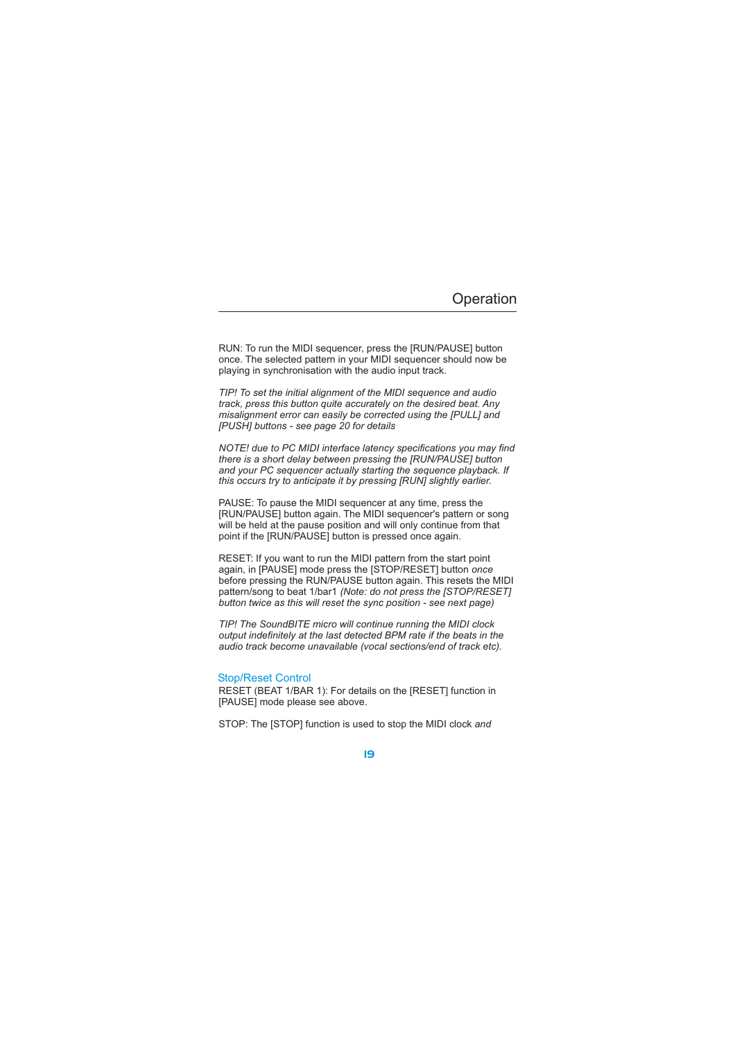RUN: To run the MIDI sequencer, press the [RUN/PAUSE] button once. The selected pattern in your MIDI sequencer should now be playing in synchronisation with the audio input track.

*TIP! To set the initial alignment of the MIDI sequence and audio track, press this button quite accurately on the desired beat. Any misalignment error can easily be corrected using the [PULL] and [PUSH] buttons - see page 20 for details*

*NOTE! due to PC MIDI interface latency specifications you may find there is a short delay between pressing the [RUN/PAUSE] button and your PC sequencer actually starting the sequence playback. If this occurs try to anticipate it by pressing [RUN] slightly earlier.*

PAUSE: To pause the MIDI sequencer at any time, press the [RUN/PAUSE] button again. The MIDI sequencer's pattern or song will be held at the pause position and will only continue from that point if the [RUN/PAUSE] button is pressed once again.

RESET: If you want to run the MIDI pattern from the start point again, in [PAUSE] mode press the [STOP/RESET] button *once* before pressing the RUN/PAUSE button again. This resets the MIDI pattern/song to beat 1/bar1 *(Note: do not press the [STOP/RESET] button twice as this will reset the sync position - see next page)*

*TIP! The SoundBITE micro will continue running the MIDI clock output indefinitely at the last detected BPM rate if the beats in the audio track become unavailable (vocal sections/end of track etc).*

## Stop/Reset Control

RESET (BEAT 1/BAR 1): For details on the [RESET] function in [PAUSE] mode please see above.

STOP: The [STOP] function is used to stop the MIDI clock *and*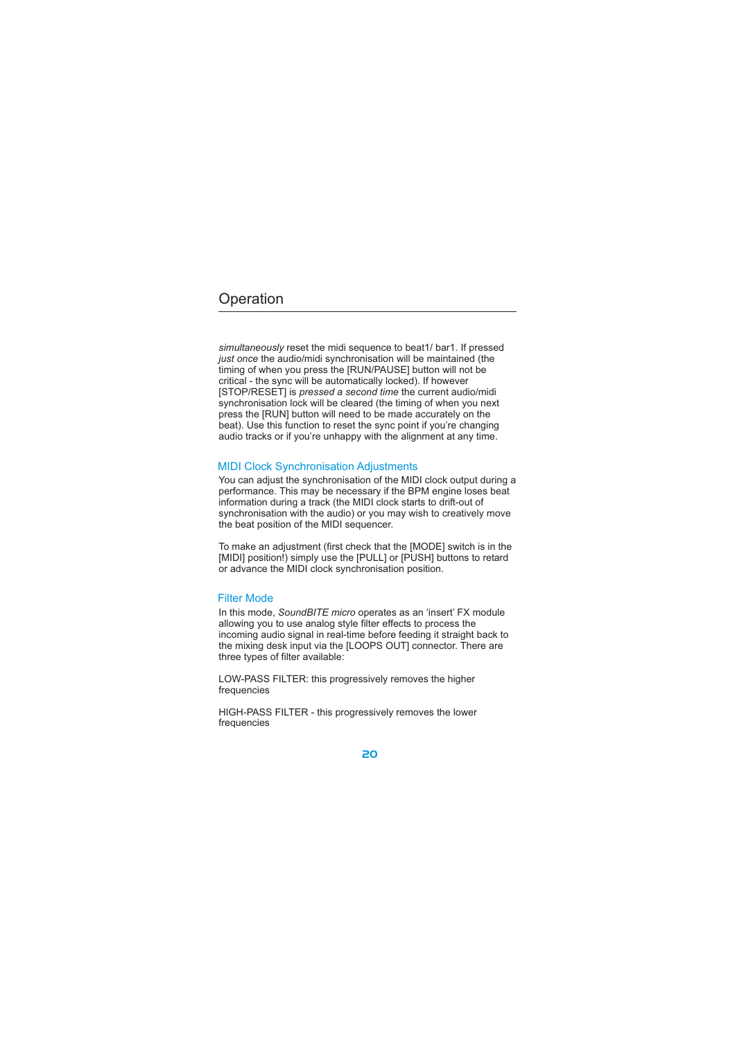*simultaneously* reset the midi sequence to beat1/ bar1. If pressed *just once* the audio/midi synchronisation will be maintained (the [STOP/RESET] is *pressed a second time* the current audio/midi timing of when you press the [RUN/PAUSE] button will not be critical - the sync will be automatically locked). If however synchronisation lock will be cleared (the timing of when you next press the [RUN] button will need to be made accurately on the beat). Use this function to reset the sync point if you're changing audio tracks or if you're unhappy with the alignment at any time.

## MIDI Clock Synchronisation Adjustments

You can adjust the synchronisation of the MIDI clock output during a performance. This may be necessary if the BPM engine loses beat information during a track (the MIDI clock starts to drift-out of synchronisation with the audio) or you may wish to creatively move the beat position of the MIDI sequencer.

To make an adjustment (first check that the [MODE] switch is in the [MIDI] position!) simply use the [PULL] or [PUSH] buttons to retard or advance the MIDI clock synchronisation position.

#### Filter Mode

In this mode, SoundBITE micro operates as an 'insert' FX module allowing you to use analog style filter effects to process the incoming audio signal in real-time before feeding it straight back to the mixing desk input via the [LOOPS OUT] connector. There are three types of filter available:

LOW-PASS FILTER: this progressively removes the higher frequencies

HIGH-PASS FILTER - this progressively removes the lower frequencies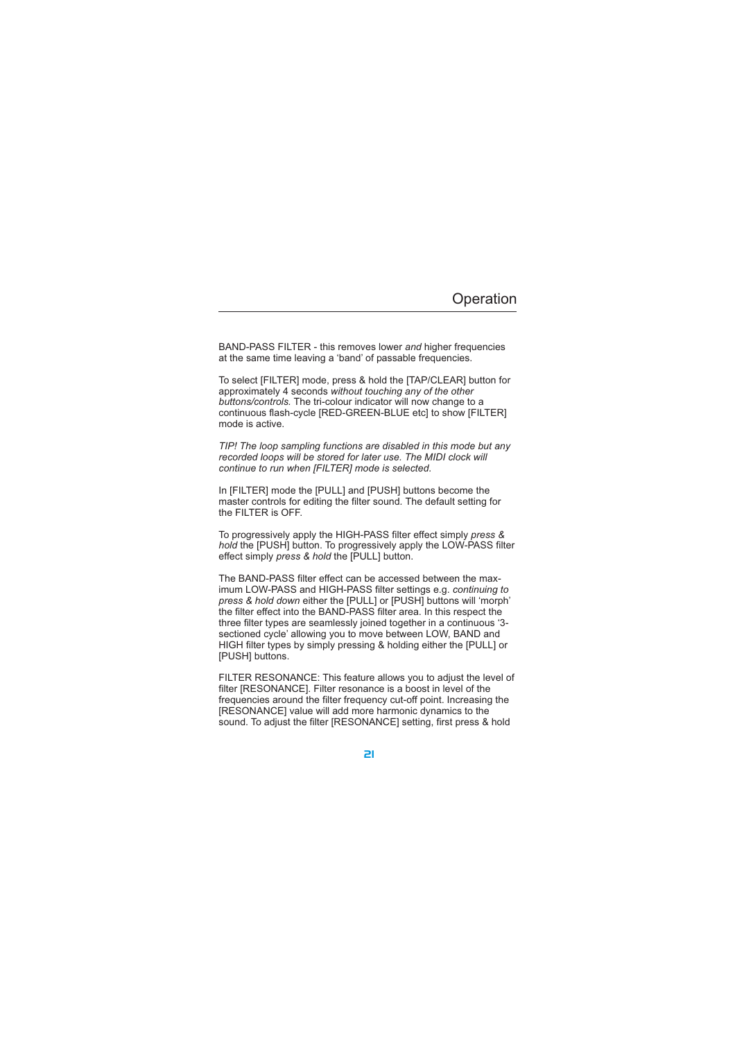BAND-PASS FILTER - this removes lower and higher frequencies at the same time leaving a 'band' of passable frequencies.

To select [FILTER] mode, press & hold the [TAP/CLEAR] button for approximately 4 seconds *without touching any of the other* buttons/controls. The tri-colour indicator will now change to a continuous flash-cycle [RED-GREEN-BLUE etc] to show [FILTER] mode is active.

*TIP! The loop sampling functions are disabled in this mode but any recorded loops will be stored for later use. The MIDI clock will continue to run when [FILTER] mode is selected.*

In [FILTER] mode the [PULL] and [PUSH] buttons become the master controls for editing the filter sound. The default setting for the FILTER is OFF.

To progressively apply the HIGH-PASS filter effect simply *press &* hold the [PUSH] button. To progressively apply the LOW-PASS filter effect simply *press & hold* the [PULL] button.

The BAND-PASS filter effect can be accessed between the maximum LOW-PASS and HIGH-PASS filter settings e.g. *continuing to* press & hold down either the [PULL] or [PUSH] buttons will 'morph' the filter effect into the BAND-PASS filter area. In this respect the three filter types are seamlessly joined together in a continuous '3 sectioned cycle' allowing you to move between LOW, BAND and HIGH filter types by simply pressing & holding either the [PULL] or [PUSH] buttons.

FILTER RESONANCE: This feature allows you to adjust the level of filter [RESONANCE]. Filter resonance is a boost in level of the frequencies around the filter frequency cut-off point. Increasing the [RESONANCE] value will add more harmonic dynamics to the sound. To adjust the filter [RESONANCE] setting, first press & hold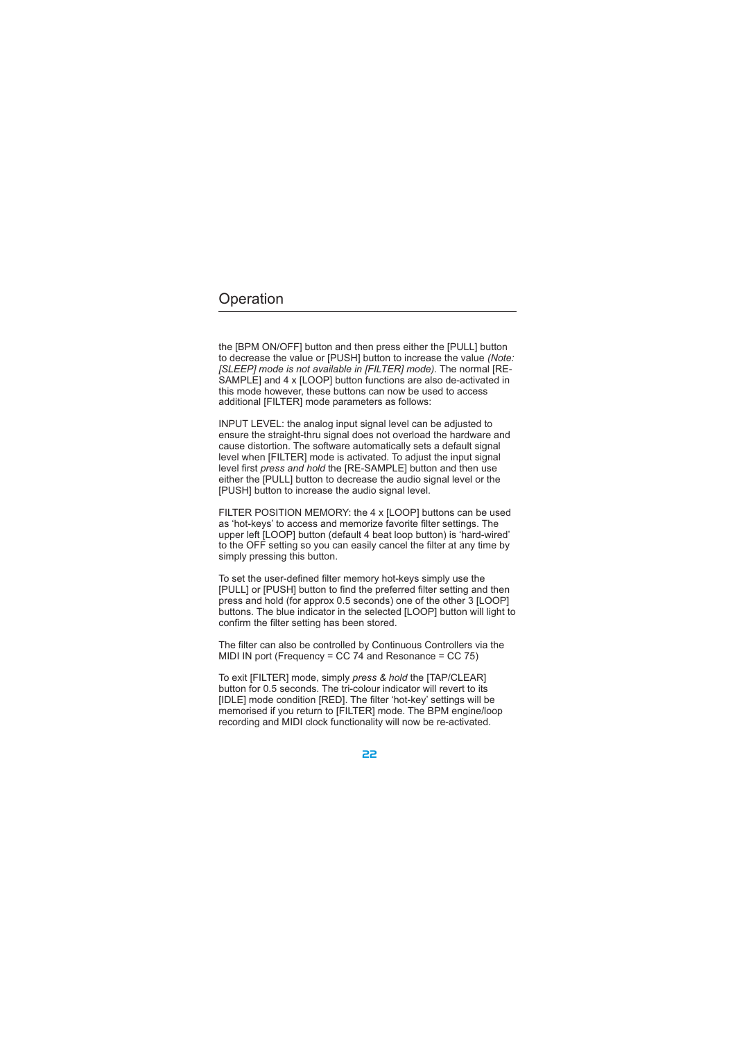the [BPM ON/OFF] button and then press either the [PULL] button to decrease the value or [PUSH] button to increase the value *(Note: [SLEEP] mode is not available in [FILTER] mode).* The normal [RE-SAMPLE] and 4 x [LOOP] button functions are also de-activated in this mode however, these buttons can now be used to access additional [FILTER] mode parameters as follows:

INPUT LEVEL: the analog input signal level can be adjusted to ensure the straight-thru signal does not overload the hardware and cause distortion. The software automatically sets a default signal level when [FILTER] mode is activated. To adjust the input signal level first *press and hold* the [RE-SAMPLE] button and then use either the [PULL] button to decrease the audio signal level or the [PUSH] button to increase the audio signal level.

FILTER POSITION MEMORY: the 4 x [LOOP] buttons can be used as 'hot-keys' to access and memorize favorite filter settings. The upper left [LOOP] button (default 4 beat loop button) is 'hard-wired' to the OFF setting so you can easily cancel the filter at any time by simply pressing this button.

To set the user-defined filter memory hot-keys simply use the [PULL] or [PUSH] button to find the preferred filter setting and then press and hold (for approx 0.5 seconds) one of the other 3 [LOOP] buttons. The blue indicator in the selected [LOOP] button will light to confirm the filter setting has been stored.

The filter can also be controlled by Continuous Controllers via the MIDI IN port (Frequency = CC 74 and Resonance = CC 75)

To exit [FILTER] mode, simply *press & hold* the [TAP/CLEAR] button for 0.5 seconds. The tri-colour indicator will revert to its [IDLE] mode condition [RED]. The filter 'hot-key' settings will be memorised if you return to [FILTER] mode. The BPM engine/loop recording and MIDI clock functionality will now be re-activated.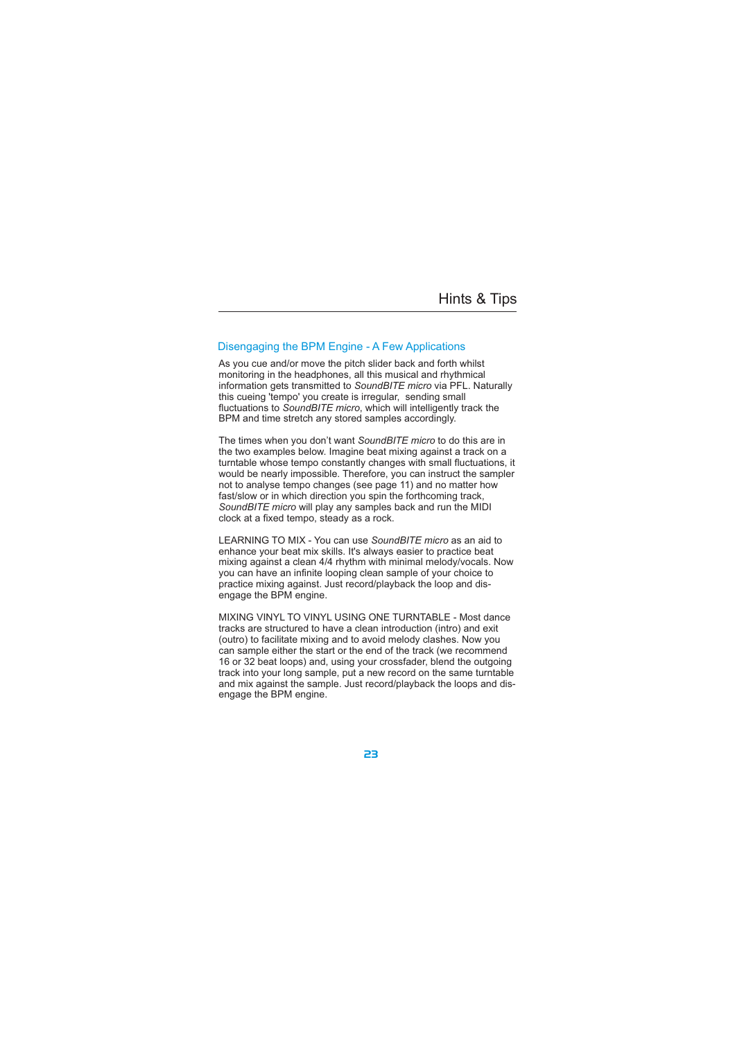## Hints & Tips

## Disengaging the BPM Engine - A Few Applications

As you cue and/or move the pitch slider back and forth whilst monitoring in the headphones, all this musical and rhythmical information gets transmitted to SoundBITE micro via PFL. Naturally this cueing 'tempo' you create is irregular, sending small fluctuations to SoundBITE micro, which will intelligently track the BPM and time stretch any stored samples accordingly.

The times when you don't want SoundBITE micro to do this are in the two examples below. Imagine beat mixing against a track on a turntable whose tempo constantly changes with small fluctuations, it would be nearly impossible. Therefore, you can instruct the sampler not to analyse tempo changes (see page 11) and no matter how fast/slow or in which direction you spin the forthcoming track, SoundBITE micro will play any samples back and run the MIDI clock at a fixed tempo, steady as a rock.

LEARNING TO MIX - You can use SoundBITE micro as an aid to enhance your beat mix skills. It's always easier to practice beat mixing against a clean 4/4 rhythm with minimal melody/vocals. Now you can have an infinite looping clean sample of your choice to practice mixing against. Just record/playback the loop and disengage the BPM engine.

MIXING VINYL TO VINYL USING ONE TURNTABLE - Most dance tracks are structured to have a clean introduction (intro) and exit (outro) to facilitate mixing and to avoid melody clashes. Now you can sample either the start or the end of the track (we recommend 16 or 32 beat loops) and, using your crossfader, blend the outgoing track into your long sample, put a new record on the same turntable and mix against the sample. Just record/playback the loops and disengage the BPM engine.